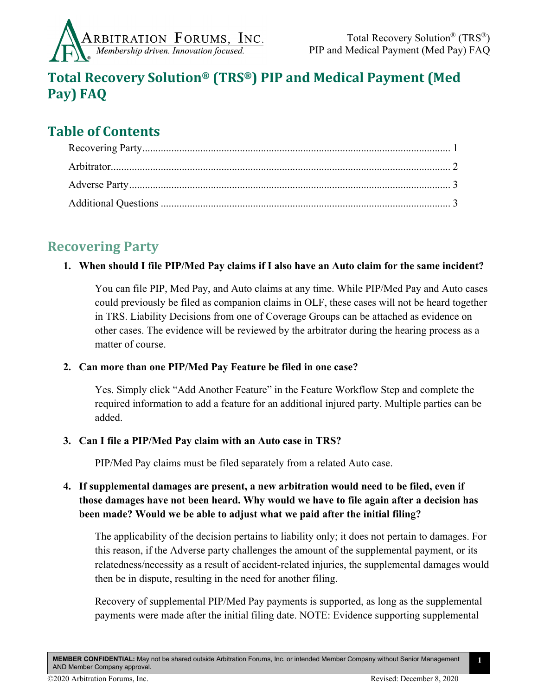

# **Total Recovery Solution® (TRS®) PIP and Medical Payment (Med Pay) FAQ**

# **Table of Contents**

## <span id="page-0-0"></span>**Recovering Party**

### **1. When should I file PIP/Med Pay claims if I also have an Auto claim for the same incident?**

You can file PIP, Med Pay, and Auto claims at any time. While PIP/Med Pay and Auto cases could previously be filed as companion claims in OLF, these cases will not be heard together in TRS. Liability Decisions from one of Coverage Groups can be attached as evidence on other cases. The evidence will be reviewed by the arbitrator during the hearing process as a matter of course.

### **2. Can more than one PIP/Med Pay Feature be filed in one case?**

Yes. Simply click "Add Another Feature" in the Feature Workflow Step and complete the required information to add a feature for an additional injured party. Multiple parties can be added.

### **3. Can I file a PIP/Med Pay claim with an Auto case in TRS?**

PIP/Med Pay claims must be filed separately from a related Auto case.

## **4. If supplemental damages are present, a new arbitration would need to be filed, even if those damages have not been heard. Why would we have to file again after a decision has been made? Would we be able to adjust what we paid after the initial filing?**

The applicability of the decision pertains to liability only; it does not pertain to damages. For this reason, if the Adverse party challenges the amount of the supplemental payment, or its relatedness/necessity as a result of accident-related injuries, the supplemental damages would then be in dispute, resulting in the need for another filing.

Recovery of supplemental PIP/Med Pay payments is supported, as long as the supplemental payments were made after the initial filing date. NOTE: Evidence supporting supplemental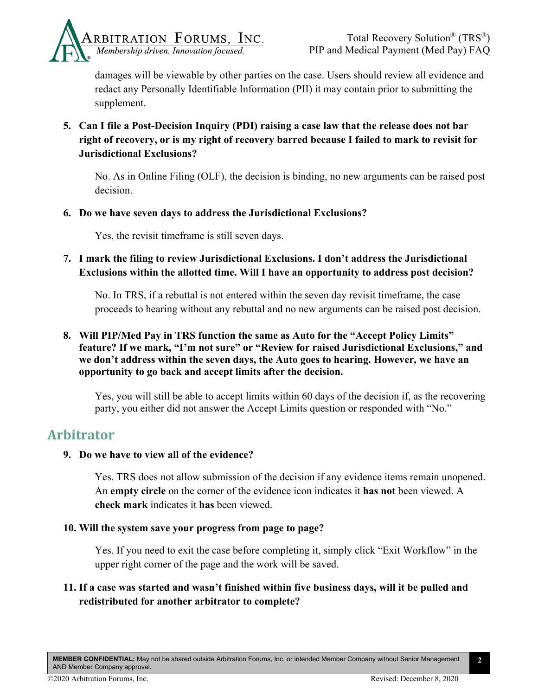

damages will be viewable by other parties on the case. Users should review all evidence and redact any Personally Identifiable Information (PII) it may contain prior to submitting the supplement.

**5. Can I file a Post-Decision Inquiry (PDI) raising a case law that the release does not bar right of recovery, or is my right of recovery barred because I failed to mark to revisit for Jurisdictional Exclusions?** 

No. As in Online Filing (OLF), the decision is binding, no new arguments can be raised post decision.

#### **6. Do we have seven days to address the Jurisdictional Exclusions?**

Yes, the revisit timeframe is still seven days.

**7. I mark the filing to review Jurisdictional Exclusions. I don't address the Jurisdictional Exclusions within the allotted time. Will I have an opportunity to address post decision?**

No. In TRS, if a rebuttal is not entered within the seven day revisit timeframe, the case proceeds to hearing without any rebuttal and no new arguments can be raised post decision.

**8. Will PIP/Med Pay in TRS function the same as Auto for the "Accept Policy Limits" feature? If we mark, "I'm not sure" or "Review for raised Jurisdictional Exclusions," and we don't address within the seven days, the Auto goes to hearing. However, we have an opportunity to go back and accept limits after the decision.**

Yes, you will still be able to accept limits within 60 days of the decision if, as the recovering party, you either did not answer the Accept Limits question or responded with "No."

## <span id="page-1-0"></span>**Arbitrator**

### **9. Do we have to view all of the evidence?**

Yes. TRS does not allow submission of the decision if any evidence items remain unopened. An **empty circle** on the corner of the evidence icon indicates it **has not** been viewed. A **check mark** indicates it **has** been viewed.

#### **10. Will the system save your progress from page to page?**

Yes. If you need to exit the case before completing it, simply click "Exit Workflow" in the upper right corner of the page and the work will be saved.

## **11. If a case was started and wasn't finished within five business days, will it be pulled and redistributed for another arbitrator to complete?**

**MEMBER CONFIDENTIAL:** May not be shared outside Arbitration Forums, Inc. or intended Member Company without Senior Management AND Member Company approval.

**2**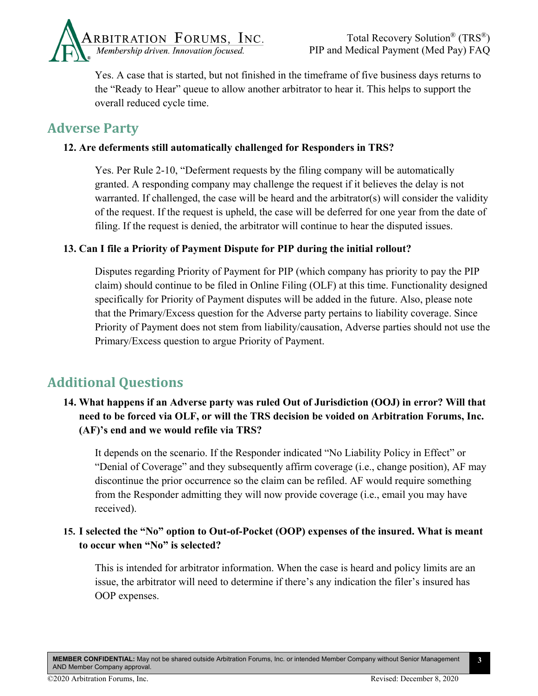

Yes. A case that is started, but not finished in the timeframe of five business days returns to the "Ready to Hear" queue to allow another arbitrator to hear it. This helps to support the overall reduced cycle time.

## <span id="page-2-0"></span>**Adverse Party**

## **12. Are deferments still automatically challenged for Responders in TRS?**

Yes. Per Rule 2-10, "Deferment requests by the filing company will be automatically granted. A responding company may challenge the request if it believes the delay is not warranted. If challenged, the case will be heard and the arbitrator(s) will consider the validity of the request. If the request is upheld, the case will be deferred for one year from the date of filing. If the request is denied, the arbitrator will continue to hear the disputed issues.

### **13. Can I file a Priority of Payment Dispute for PIP during the initial rollout?**

Disputes regarding Priority of Payment for PIP (which company has priority to pay the PIP claim) should continue to be filed in Online Filing (OLF) at this time. Functionality designed specifically for Priority of Payment disputes will be added in the future. Also, please note that the Primary/Excess question for the Adverse party pertains to liability coverage. Since Priority of Payment does not stem from liability/causation, Adverse parties should not use the Primary/Excess question to argue Priority of Payment.

## <span id="page-2-1"></span>**Additional Questions**

## **14. What happens if an Adverse party was ruled Out of Jurisdiction (OOJ) in error? Will that need to be forced via OLF, or will the TRS decision be voided on Arbitration Forums, Inc. (AF)'s end and we would refile via TRS?**

It depends on the scenario. If the Responder indicated "No Liability Policy in Effect" or "Denial of Coverage" and they subsequently affirm coverage (i.e., change position), AF may discontinue the prior occurrence so the claim can be refiled. AF would require something from the Responder admitting they will now provide coverage (i.e., email you may have received).

## **15. I selected the "No" option to Out-of-Pocket (OOP) expenses of the insured. What is meant to occur when "No" is selected?**

This is intended for arbitrator information. When the case is heard and policy limits are an issue, the arbitrator will need to determine if there's any indication the filer's insured has OOP expenses.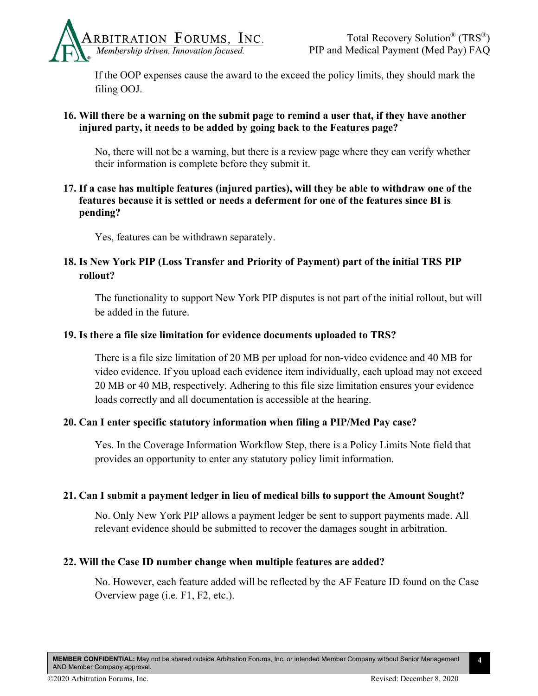

If the OOP expenses cause the award to the exceed the policy limits, they should mark the filing OOJ.

### **16. Will there be a warning on the submit page to remind a user that, if they have another injured party, it needs to be added by going back to the Features page?**

No, there will not be a warning, but there is a review page where they can verify whether their information is complete before they submit it.

**17. If a case has multiple features (injured parties), will they be able to withdraw one of the features because it is settled or needs a deferment for one of the features since BI is pending?** 

Yes, features can be withdrawn separately.

## **18. Is New York PIP (Loss Transfer and Priority of Payment) part of the initial TRS PIP rollout?**

The functionality to support New York PIP disputes is not part of the initial rollout, but will be added in the future.

### **19. Is there a file size limitation for evidence documents uploaded to TRS?**

There is a file size limitation of 20 MB per upload for non-video evidence and 40 MB for video evidence. If you upload each evidence item individually, each upload may not exceed 20 MB or 40 MB, respectively. Adhering to this file size limitation ensures your evidence loads correctly and all documentation is accessible at the hearing.

### **20. Can I enter specific statutory information when filing a PIP/Med Pay case?**

Yes. In the Coverage Information Workflow Step, there is a Policy Limits Note field that provides an opportunity to enter any statutory policy limit information.

#### **21. Can I submit a payment ledger in lieu of medical bills to support the Amount Sought?**

No. Only New York PIP allows a payment ledger be sent to support payments made. All relevant evidence should be submitted to recover the damages sought in arbitration.

#### **22. Will the Case ID number change when multiple features are added?**

No. However, each feature added will be reflected by the AF Feature ID found on the Case Overview page (i.e. F1, F2, etc.).